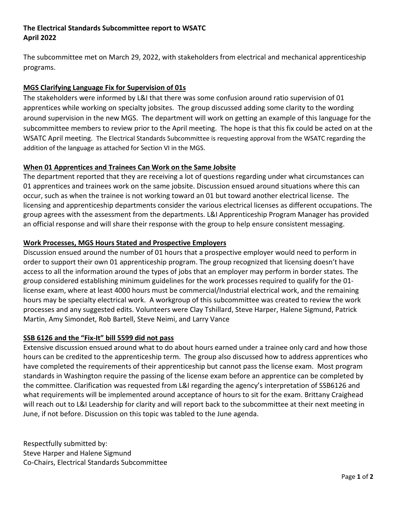# **The Electrical Standards Subcommittee report to WSATC April 2022**

The subcommittee met on March 29, 2022, with stakeholders from electrical and mechanical apprenticeship programs.

## **MGS Clarifying Language Fix for Supervision of 01s**

The stakeholders were informed by L&I that there was some confusion around ratio supervision of 01 apprentices while working on specialty jobsites. The group discussed adding some clarity to the wording around supervision in the new MGS. The department will work on getting an example of this language for the subcommittee members to review prior to the April meeting. The hope is that this fix could be acted on at the WSATC April meeting. The Electrical Standards Subcommittee is requesting approval from the WSATC regarding the addition of the language as attached for Section VI in the MGS.

### **When 01 Apprentices and Trainees Can Work on the Same Jobsite**

The department reported that they are receiving a lot of questions regarding under what circumstances can 01 apprentices and trainees work on the same jobsite. Discussion ensued around situations where this can occur, such as when the trainee is not working toward an 01 but toward another electrical license. The licensing and apprenticeship departments consider the various electrical licenses as different occupations. The group agrees with the assessment from the departments. L&I Apprenticeship Program Manager has provided an official response and will share their response with the group to help ensure consistent messaging.

### **Work Processes, MGS Hours Stated and Prospective Employers**

Discussion ensued around the number of 01 hours that a prospective employer would need to perform in order to support their own 01 apprenticeship program. The group recognized that licensing doesn't have access to all the information around the types of jobs that an employer may perform in border states. The group considered establishing minimum guidelines for the work processes required to qualify for the 01 license exam, where at least 4000 hours must be commercial/Industrial electrical work, and the remaining hours may be specialty electrical work. A workgroup of this subcommittee was created to review the work processes and any suggested edits. Volunteers were Clay Tshillard, Steve Harper, Halene Sigmund, Patrick Martin, Amy Simondet, Rob Bartell, Steve Neimi, and Larry Vance

#### **SSB 6126 and the "Fix-It" bill 5599 did not pass**

Extensive discussion ensued around what to do about hours earned under a trainee only card and how those hours can be credited to the apprenticeship term. The group also discussed how to address apprentices who have completed the requirements of their apprenticeship but cannot pass the license exam. Most program standards in Washington require the passing of the license exam before an apprentice can be completed by the committee. Clarification was requested from L&I regarding the agency's interpretation of SSB6126 and what requirements will be implemented around acceptance of hours to sit for the exam. Brittany Craighead will reach out to L&I Leadership for clarity and will report back to the subcommittee at their next meeting in June, if not before. Discussion on this topic was tabled to the June agenda.

Respectfully submitted by: Steve Harper and Halene Sigmund Co-Chairs, Electrical Standards Subcommittee